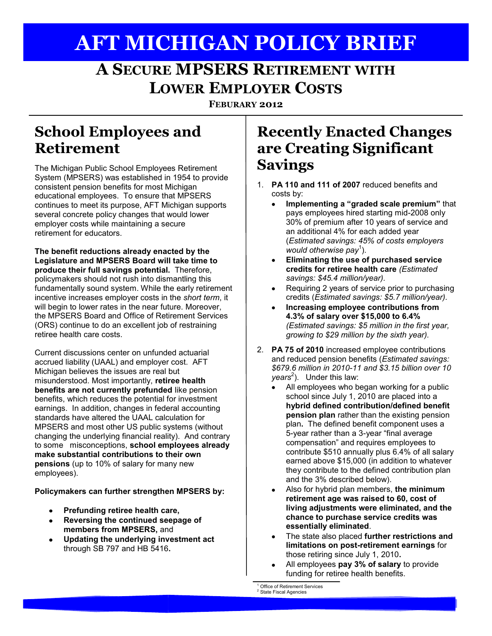# **AFT MICHIGAN POLICY BRIEF**

## **A SECURE MPSERS RETIREMENT WITH LOWER EMPLOYER COSTS**

**FEBURARY 2012**

#### **School Employees and Retirement**

The Michigan Public School Employees Retirement System (MPSERS) was established in 1954 to provide consistent pension benefits for most Michigan educational employees. To ensure that MPSERS continues to meet its purpose, AFT Michigan supports several concrete policy changes that would lower employer costs while maintaining a secure retirement for educators.

**The benefit reductions already enacted by the Legislature and MPSERS Board will take time to produce their full savings potential.** Therefore, policymakers should not rush into dismantling this fundamentally sound system. While the early retirement incentive increases employer costs in the *short term*, it will begin to lower rates in the near future. Moreover, the MPSERS Board and Office of Retirement Services (ORS) continue to do an excellent job of restraining retiree health care costs.

Current discussions center on unfunded actuarial accrued liability (UAAL) and employer cost. AFT Michigan believes the issues are real but misunderstood. Most importantly, **retiree health benefits are not currently prefunded** like pension benefits, which reduces the potential for investment earnings. In addition, changes in federal accounting standards have altered the UAAL calculation for MPSERS and most other US public systems (without changing the underlying financial reality). And contrary to some misconceptions, **school employees already make substantial contributions to their own pensions** (up to 10% of salary for many new employees).

**Policymakers can further strengthen MPSERS by:** 

- **Prefunding retiree health care,**
- $\bullet$ **Reversing the continued seepage of members from MPSERS,** and
- **Updating the underlying investment act**   $\bullet$ through SB 797 and HB 5416**.**

#### **Recently Enacted Changes are Creating Significant Savings**

- 1. **PA 110 and 111 of 2007** reduced benefits and costs by:
	- **Implementing a "graded scale premium"** that pays employees hired starting mid-2008 only 30% of premium after 10 years of service and an additional 4% for each added year (*Estimated savings: 45% of costs employers would otherwise pay*<sup>1</sup> ).
	- **Eliminating the use of purchased service**   $\bullet$ **credits for retiree health care** *(Estimated savings: \$45.4 million/year).*
	- Requiring 2 years of service prior to purchasing credits (*Estimated savings: \$5.7 million/year).*
	- **Increasing employee contributions from 4.3% of salary over \$15,000 to 6.4%** *(Estimated savings: \$5 million in the first year, growing to \$29 million by the sixth year).*
- 2. **PA 75 of 2010** increased employee contributions and reduced pension benefits (*Estimated savings: \$679.6 million in 2010-11 and \$3.15 billion over 10 years*<sup>2</sup> ). Under this law:
	- All employees who began working for a public  $\bullet$ school since July 1, 2010 are placed into a **hybrid defined contribution/defined benefit pension plan** rather than the existing pension plan**.** The defined benefit component uses a 5-year rather than a 3-year "final average compensation" and requires employees to contribute \$510 annually plus 6.4% of all salary earned above \$15,000 (in addition to whatever they contribute to the defined contribution plan and the 3% described below).
	- Also for hybrid plan members, **the minimum retirement age was raised to 60, cost of living adjustments were eliminated, and the chance to purchase service credits was essentially eliminated**.
	- The state also placed **further restrictions and limitations on post-retirement earnings** for those retiring since July 1, 2010**.**
	- All employees **pay 3% of salary** to provide  $\bullet$ funding for retiree health benefits.

Office of Retirement Services

State Fiscal Agencies